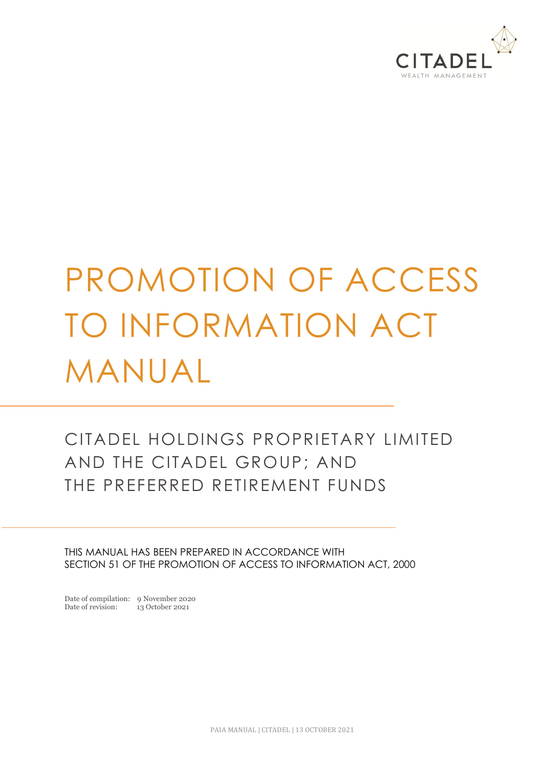

# PROMOTION OF ACCESS TO INFORMATION ACT MANUAL

# CITADEL HOLDINGS PROPRIETARY LIMITED AND THE CITADEL GROUP; AND THE PREFERRED RETIREMENT FUNDS

THIS MANUAL HAS BEEN PREPARED IN ACCORDANCE WITH SECTION 51 OF THE PROMOTION OF ACCESS TO INFORMATION ACT, 2000

Date of compilation: 9 November 2020<br>Date of revision: 13 October 2021 Date of revision: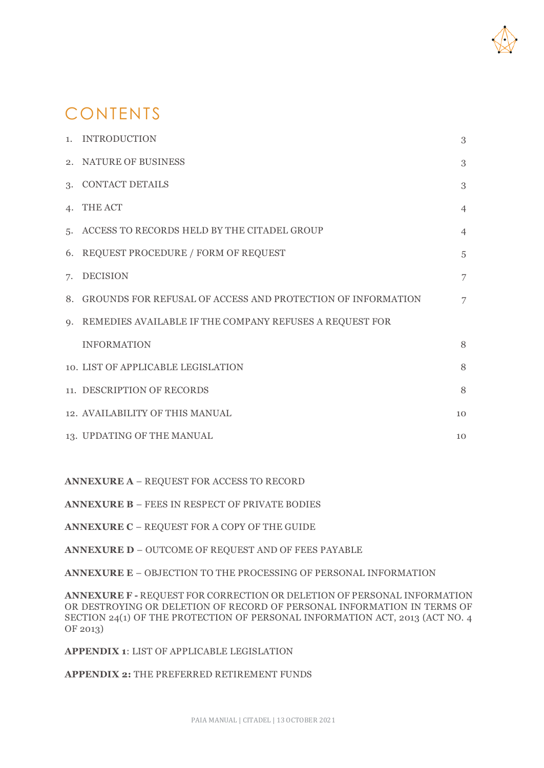

# CONTENTS

|    | 1. INTRODUCTION                                                | 3              |
|----|----------------------------------------------------------------|----------------|
|    | 2. NATURE OF BUSINESS                                          | 3              |
|    | 3. CONTACT DETAILS                                             | 3              |
|    | 4. THE ACT                                                     | $\overline{4}$ |
|    | 5. ACCESS TO RECORDS HELD BY THE CITADEL GROUP                 | $\overline{4}$ |
|    | 6. REQUEST PROCEDURE / FORM OF REQUEST                         | $\overline{5}$ |
| 7. | <b>DECISION</b>                                                | 7              |
|    | 8. GROUNDS FOR REFUSAL OF ACCESS AND PROTECTION OF INFORMATION | $\overline{7}$ |
|    | 9. REMEDIES AVAILABLE IF THE COMPANY REFUSES A REQUEST FOR     |                |
|    | <b>INFORMATION</b>                                             | 8              |
|    | 10. LIST OF APPLICABLE LEGISLATION                             | 8              |
|    | 11. DESCRIPTION OF RECORDS                                     | 8              |
|    | 12. AVAILABILITY OF THIS MANUAL                                | 10             |
|    | 13. UPDATING OF THE MANUAL                                     | 10             |

**ANNEXURE A** – REQUEST FOR ACCESS TO RECORD

**ANNEXURE B** – FEES IN RESPECT OF PRIVATE BODIES

**ANNEXURE C** – REQUEST FOR A COPY OF THE GUIDE

**ANNEXURE D** – OUTCOME OF REQUEST AND OF FEES PAYABLE

**ANNEXURE E** – OBJECTION TO THE PROCESSING OF PERSONAL INFORMATION

**ANNEXURE F -** REQUEST FOR CORRECTION OR DELETION OF PERSONAL INFORMATION OR DESTROYING OR DELETION OF RECORD OF PERSONAL INFORMATION IN TERMS OF SECTION 24(1) OF THE PROTECTION OF PERSONAL INFORMATION ACT, 2013 (ACT NO. 4 OF 2013)

**APPENDIX 1**: LIST OF APPLICABLE LEGISLATION

**APPENDIX 2:** THE PREFERRED RETIREMENT FUNDS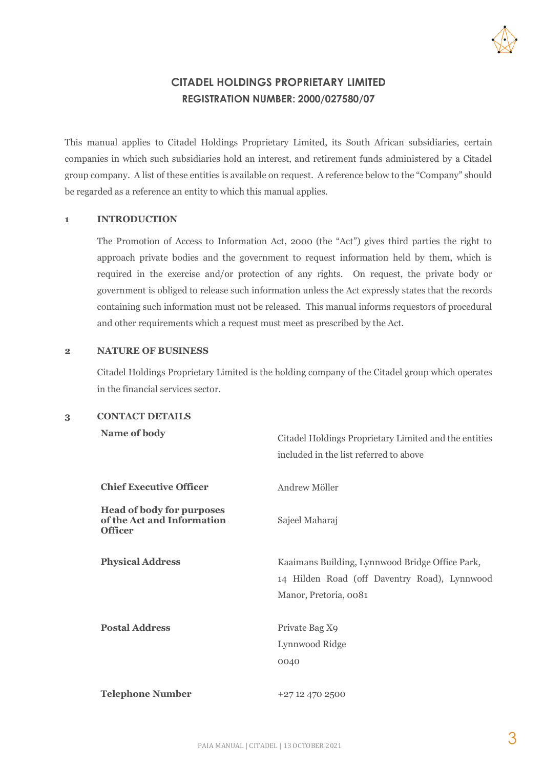

#### **CITADEL HOLDINGS PROPRIETARY LIMITED REGISTRATION NUMBER: 2000/027580/07**

This manual applies to Citadel Holdings Proprietary Limited, its South African subsidiaries, certain companies in which such subsidiaries hold an interest, and retirement funds administered by a Citadel group company. A list of these entities is available on request. A reference below to the "Company" should be regarded as a reference an entity to which this manual applies.

#### **1 INTRODUCTION**

The Promotion of Access to Information Act, 2000 (the "Act") gives third parties the right to approach private bodies and the government to request information held by them, which is required in the exercise and/or protection of any rights. On request, the private body or government is obliged to release such information unless the Act expressly states that the records containing such information must not be released. This manual informs requestors of procedural and other requirements which a request must meet as prescribed by the Act.

#### **2 NATURE OF BUSINESS**

Citadel Holdings Proprietary Limited is the holding company of the Citadel group which operates in the financial services sector.

**3 CONTACT DETAILS**

| Name of body                                                                     | Citadel Holdings Proprietary Limited and the entities<br>included in the list referred to above                          |  |  |  |
|----------------------------------------------------------------------------------|--------------------------------------------------------------------------------------------------------------------------|--|--|--|
| <b>Chief Executive Officer</b>                                                   | Andrew Möller                                                                                                            |  |  |  |
| <b>Head of body for purposes</b><br>of the Act and Information<br><b>Officer</b> | Sajeel Maharaj                                                                                                           |  |  |  |
| <b>Physical Address</b>                                                          | Kaaimans Building, Lynnwood Bridge Office Park,<br>14 Hilden Road (off Daventry Road), Lynnwood<br>Manor, Pretoria, 0081 |  |  |  |
| <b>Postal Address</b>                                                            | Private Bag X9<br>Lynnwood Ridge<br>0040                                                                                 |  |  |  |
| <b>Telephone Number</b>                                                          | +27 12 470 2500                                                                                                          |  |  |  |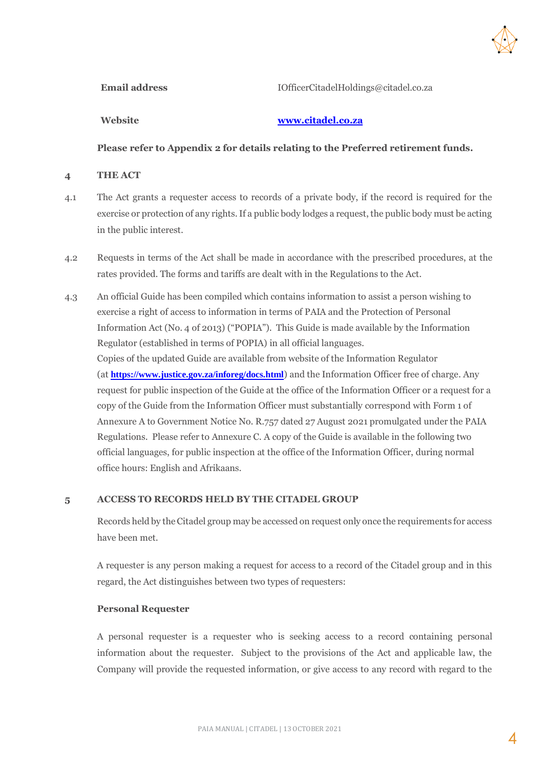

Email address **IOfficerCitadelHoldings@citadel.co.za** 

#### **Website [www.citadel.co.za](http://www.citadel.co.za/)**

**Please refer to Appendix 2 for details relating to the Preferred retirement funds.**

#### **4 THE ACT**

- 4.1 The Act grants a requester access to records of a private body, if the record is required for the exercise or protection of any rights. If a public body lodges a request, the public body must be acting in the public interest.
- 4.2 Requests in terms of the Act shall be made in accordance with the prescribed procedures, at the rates provided. The forms and tariffs are dealt with in the Regulations to the Act.
- 4.3 An official Guide has been compiled which contains information to assist a person wishing to exercise a right of access to information in terms of PAIA and the Protection of Personal Information Act (No. 4 of 2013) ("POPIA"). This Guide is made available by the Information Regulator (established in terms of POPIA) in all official languages. Copies of the updated Guide are available from website of the Information Regulator (at **<https://www.justice.gov.za/inforeg/docs.html>**) and the Information Officer free of charge. Any request for public inspection of the Guide at the office of the Information Officer or a request for a copy of the Guide from the Information Officer must substantially correspond with Form 1 of Annexure A to Government Notice No. R.757 dated 27 August 2021 promulgated under the PAIA Regulations. Please refer to Annexure C. A copy of the Guide is available in the following two official languages, for public inspection at the office of the Information Officer, during normal office hours: English and Afrikaans.

#### **5 ACCESS TO RECORDS HELD BY THE CITADEL GROUP**

Records held by the Citadel group may be accessed on request only once the requirements for access have been met.

A requester is any person making a request for access to a record of the Citadel group and in this regard, the Act distinguishes between two types of requesters:

#### **Personal Requester**

A personal requester is a requester who is seeking access to a record containing personal information about the requester. Subject to the provisions of the Act and applicable law, the Company will provide the requested information, or give access to any record with regard to the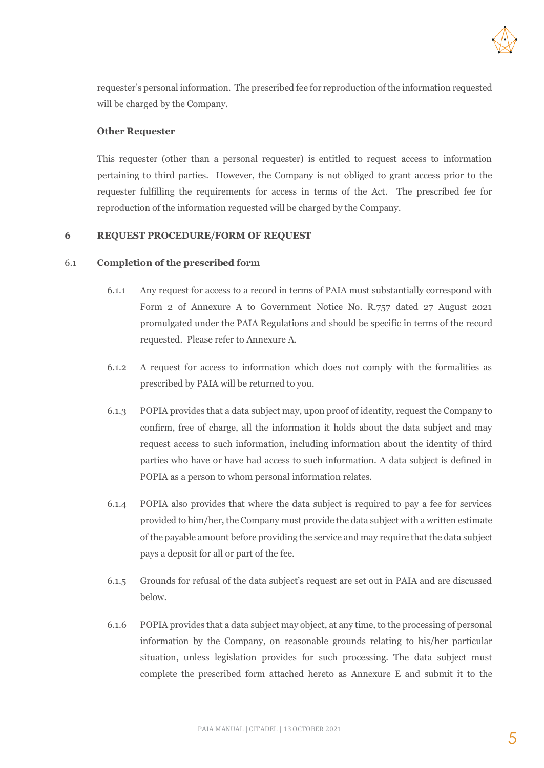

requester's personal information. The prescribed fee for reproduction of the information requested will be charged by the Company.

#### **Other Requester**

This requester (other than a personal requester) is entitled to request access to information pertaining to third parties. However, the Company is not obliged to grant access prior to the requester fulfilling the requirements for access in terms of the Act. The prescribed fee for reproduction of the information requested will be charged by the Company.

#### **6 REQUEST PROCEDURE/FORM OF REQUEST**

#### 6.1 **Completion of the prescribed form**

- 6.1.1 Any request for access to a record in terms of PAIA must substantially correspond with Form 2 of Annexure A to Government Notice No. R.757 dated 27 August 2021 promulgated under the PAIA Regulations and should be specific in terms of the record requested. Please refer to Annexure A.
- 6.1.2 A request for access to information which does not comply with the formalities as prescribed by PAIA will be returned to you.
- 6.1.3 POPIA provides that a data subject may, upon proof of identity, request the Company to confirm, free of charge, all the information it holds about the data subject and may request access to such information, including information about the identity of third parties who have or have had access to such information. A data subject is defined in POPIA as a person to whom personal information relates.
- 6.1.4 POPIA also provides that where the data subject is required to pay a fee for services provided to him/her, the Company must provide the data subject with a written estimate of the payable amount before providing the service and may require that the data subject pays a deposit for all or part of the fee.
- 6.1.5 Grounds for refusal of the data subject's request are set out in PAIA and are discussed below.
- 6.1.6 POPIA provides that a data subject may object, at any time, to the processing of personal information by the Company, on reasonable grounds relating to his/her particular situation, unless legislation provides for such processing. The data subject must complete the prescribed form attached hereto as Annexure E and submit it to the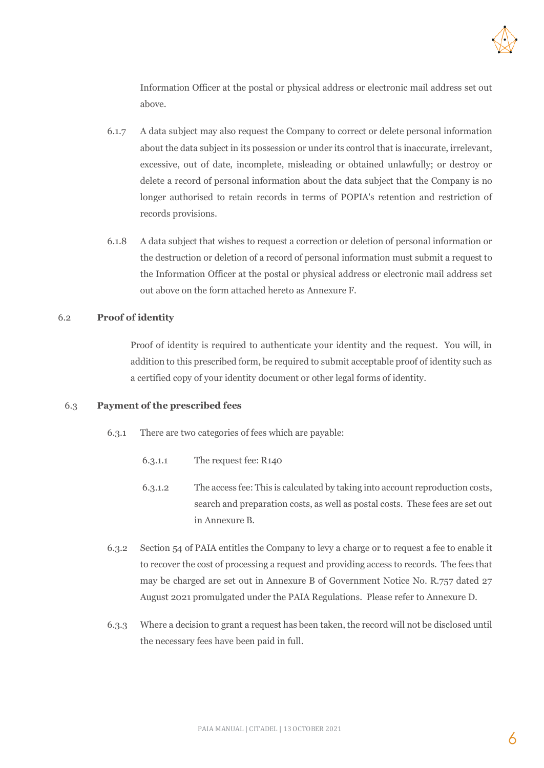

Information Officer at the postal or physical address or electronic mail address set out above.

- 6.1.7 A data subject may also request the Company to correct or delete personal information about the data subject in its possession or under its control that is inaccurate, irrelevant, excessive, out of date, incomplete, misleading or obtained unlawfully; or destroy or delete a record of personal information about the data subject that the Company is no longer authorised to retain records in terms of POPIA's retention and restriction of records provisions.
- 6.1.8 A data subject that wishes to request a correction or deletion of personal information or the destruction or deletion of a record of personal information must submit a request to the Information Officer at the postal or physical address or electronic mail address set out above on the form attached hereto as Annexure F.

#### 6.2 **Proof of identity**

Proof of identity is required to authenticate your identity and the request. You will, in addition to this prescribed form, be required to submit acceptable proof of identity such as a certified copy of your identity document or other legal forms of identity.

#### 6.3 **Payment of the prescribed fees**

- 6.3.1 There are two categories of fees which are payable:
	- 6.3.1.1 The request fee: R140
	- 6.3.1.2 The access fee: This is calculated by taking into account reproduction costs, search and preparation costs, as well as postal costs. These fees are set out in Annexure B.
- 6.3.2 Section 54 of PAIA entitles the Company to levy a charge or to request a fee to enable it to recover the cost of processing a request and providing access to records. The fees that may be charged are set out in Annexure B of Government Notice No. R.757 dated 27 August 2021 promulgated under the PAIA Regulations. Please refer to Annexure D.
- 6.3.3 Where a decision to grant a request has been taken, the record will not be disclosed until the necessary fees have been paid in full.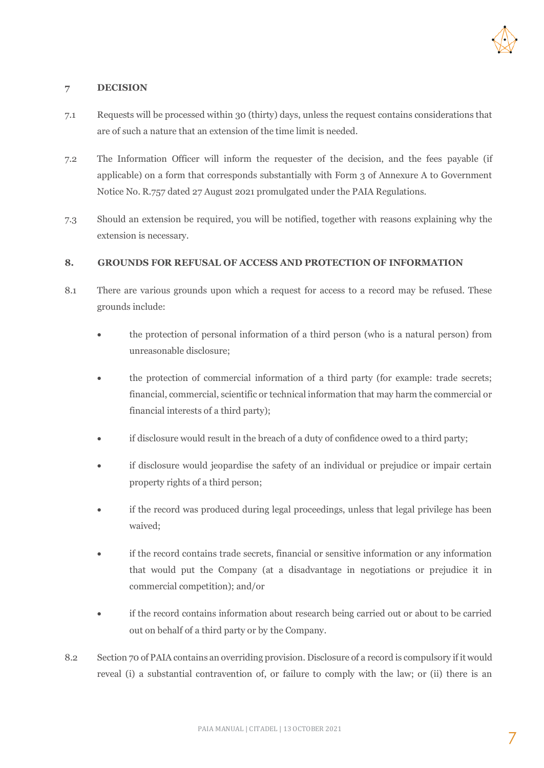

#### **7 DECISION**

- 7.1 Requests will be processed within 30 (thirty) days, unless the request contains considerations that are of such a nature that an extension of the time limit is needed.
- 7.2 The Information Officer will inform the requester of the decision, and the fees payable (if applicable) on a form that corresponds substantially with Form 3 of Annexure A to Government Notice No. R.757 dated 27 August 2021 promulgated under the PAIA Regulations.
- 7.3 Should an extension be required, you will be notified, together with reasons explaining why the extension is necessary.

#### **8. GROUNDS FOR REFUSAL OF ACCESS AND PROTECTION OF INFORMATION**

- 8.1 There are various grounds upon which a request for access to a record may be refused. These grounds include:
	- the protection of personal information of a third person (who is a natural person) from unreasonable disclosure;
	- the protection of commercial information of a third party (for example: trade secrets; financial, commercial, scientific or technical information that may harm the commercial or financial interests of a third party);
	- if disclosure would result in the breach of a duty of confidence owed to a third party;
	- if disclosure would jeopardise the safety of an individual or prejudice or impair certain property rights of a third person;
	- if the record was produced during legal proceedings, unless that legal privilege has been waived;
	- if the record contains trade secrets, financial or sensitive information or any information that would put the Company (at a disadvantage in negotiations or prejudice it in commercial competition); and/or
	- if the record contains information about research being carried out or about to be carried out on behalf of a third party or by the Company.
- 8.2 Section 70 of PAIA contains an overriding provision. Disclosure of a record is compulsory if it would reveal (i) a substantial contravention of, or failure to comply with the law; or (ii) there is an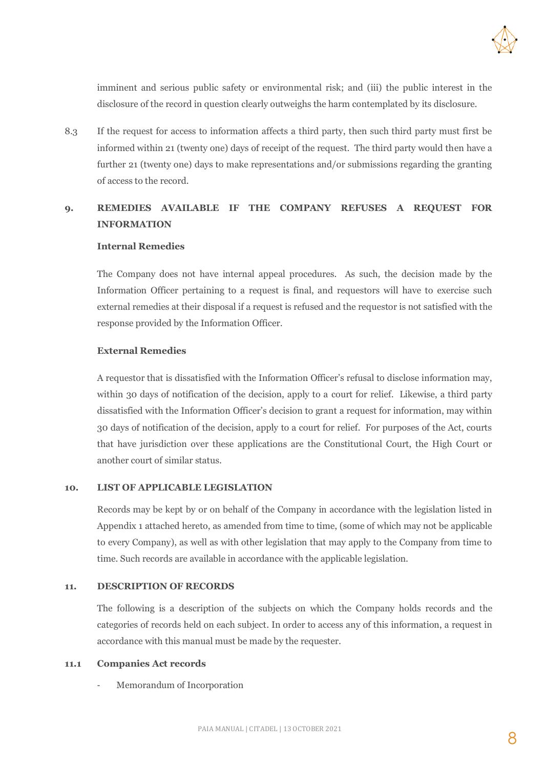

imminent and serious public safety or environmental risk; and (iii) the public interest in the disclosure of the record in question clearly outweighs the harm contemplated by its disclosure.

8.3 If the request for access to information affects a third party, then such third party must first be informed within 21 (twenty one) days of receipt of the request. The third party would then have a further 21 (twenty one) days to make representations and/or submissions regarding the granting of access to the record.

#### **9. REMEDIES AVAILABLE IF THE COMPANY REFUSES A REQUEST FOR INFORMATION**

#### **Internal Remedies**

The Company does not have internal appeal procedures. As such, the decision made by the Information Officer pertaining to a request is final, and requestors will have to exercise such external remedies at their disposal if a request is refused and the requestor is not satisfied with the response provided by the Information Officer.

#### **External Remedies**

A requestor that is dissatisfied with the Information Officer's refusal to disclose information may, within 30 days of notification of the decision, apply to a court for relief. Likewise, a third party dissatisfied with the Information Officer's decision to grant a request for information, may within 30 days of notification of the decision, apply to a court for relief. For purposes of the Act, courts that have jurisdiction over these applications are the Constitutional Court, the High Court or another court of similar status.

#### **10. LIST OF APPLICABLE LEGISLATION**

Records may be kept by or on behalf of the Company in accordance with the legislation listed in Appendix 1 attached hereto, as amended from time to time, (some of which may not be applicable to every Company), as well as with other legislation that may apply to the Company from time to time. Such records are available in accordance with the applicable legislation.

#### **11. DESCRIPTION OF RECORDS**

The following is a description of the subjects on which the Company holds records and the categories of records held on each subject. In order to access any of this information, a request in accordance with this manual must be made by the requester.

#### **11.1 Companies Act records**

- Memorandum of Incorporation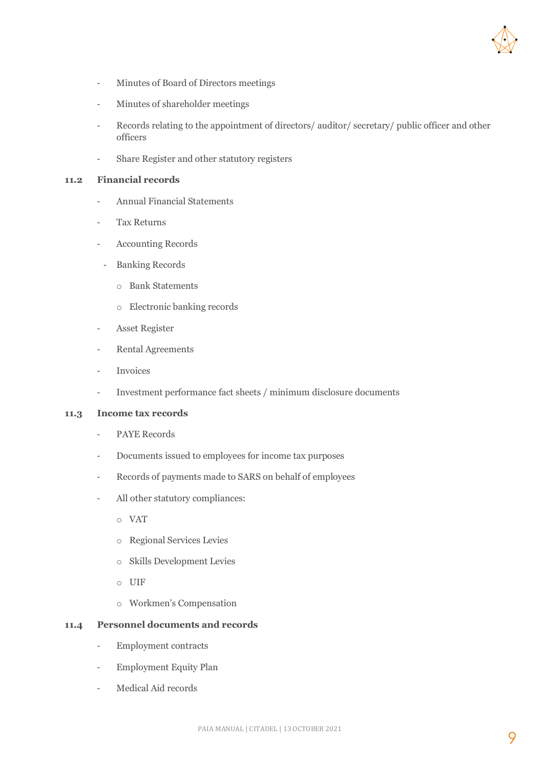

- Minutes of Board of Directors meetings
- Minutes of shareholder meetings
- Records relating to the appointment of directors/ auditor/ secretary/ public officer and other officers
- Share Register and other statutory registers

#### **11.2 Financial records**

- Annual Financial Statements
- Tax Returns
- Accounting Records
- Banking Records
	- o Bank Statements
	- o Electronic banking records
- Asset Register
- Rental Agreements
- **Invoices**
- Investment performance fact sheets / minimum disclosure documents

#### **11.3 Income tax records**

- PAYE Records
- Documents issued to employees for income tax purposes
- Records of payments made to SARS on behalf of employees
- All other statutory compliances:
	- o VAT
	- o Regional Services Levies
	- o Skills Development Levies
	- o UIF
	- o Workmen's Compensation

#### **11.4 Personnel documents and records**

- Employment contracts
- Employment Equity Plan
- Medical Aid records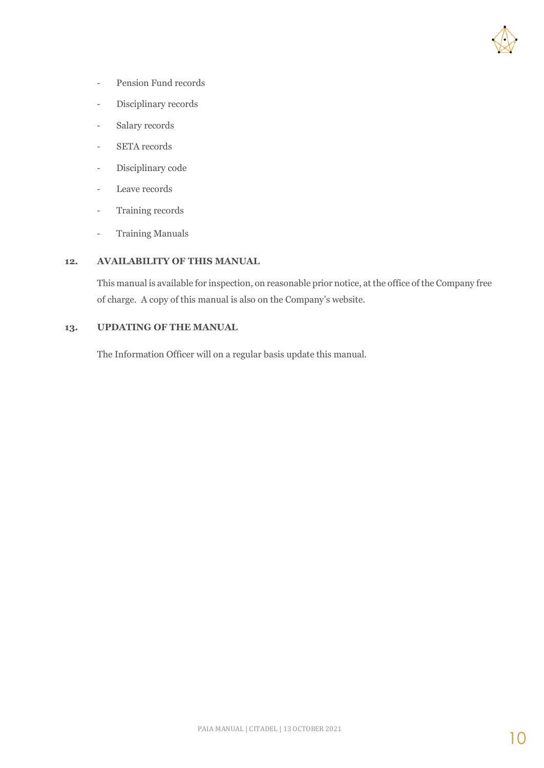

- Pension Fund records
- Disciplinary records
- Salary records
- SETA records
- Disciplinary code
- Leave records
- Training records
- Training Manuals

#### **12. AVAILABILITY OF THIS MANUAL**

This manual is available for inspection, on reasonable prior notice, at the office of the Company free of charge. A copy of this manual is also on the Company's website.

#### **13. UPDATING OF THE MANUAL**

The Information Officer will on a regular basis update this manual.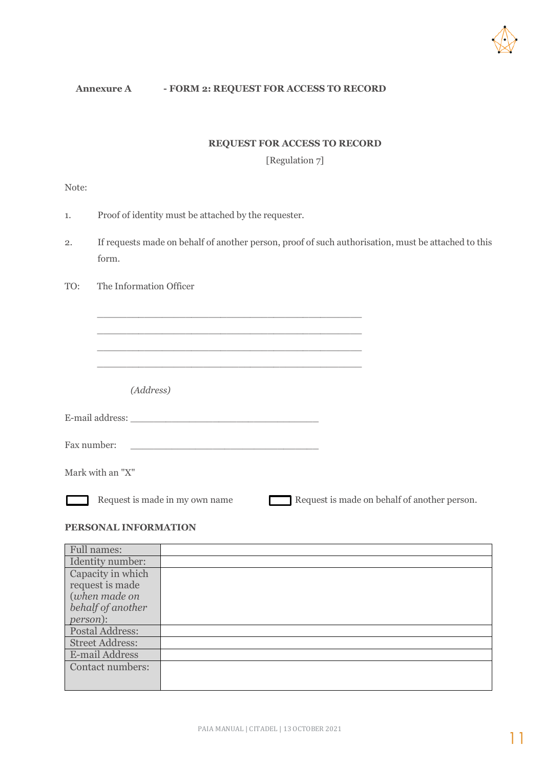

#### **Annexure A - FORM 2: REQUEST FOR ACCESS TO RECORD**

\_\_\_\_\_\_\_\_\_\_\_\_\_\_\_\_\_\_\_\_\_\_\_\_\_\_\_\_\_\_\_\_\_\_\_\_\_\_\_\_\_\_\_\_\_ \_\_\_\_\_\_\_\_\_\_\_\_\_\_\_\_\_\_\_\_\_\_\_\_\_\_\_\_\_\_\_\_\_\_\_\_\_\_\_\_\_\_\_\_\_ \_\_\_\_\_\_\_\_\_\_\_\_\_\_\_\_\_\_\_\_\_\_\_\_\_\_\_\_\_\_\_\_\_\_\_\_\_\_\_\_\_\_\_\_\_ \_\_\_\_\_\_\_\_\_\_\_\_\_\_\_\_\_\_\_\_\_\_\_\_\_\_\_\_\_\_\_\_\_\_\_\_\_\_\_\_\_\_\_\_\_

#### **REQUEST FOR ACCESS TO RECORD**

[Regulation 7]

Note:

- 1. Proof of identity must be attached by the requester.
- 2. If requests made on behalf of another person, proof of such authorisation, must be attached to this form.
- TO: The Information Officer

*(Address)*

| E-mail address: |  |
|-----------------|--|
|-----------------|--|

Fax number:

Mark with an "X"

Г

Request is made in my own name Request is made on behalf of another person.

#### **PERSONAL INFORMATION**

| <b>Full names:</b>     |  |
|------------------------|--|
| Identity number:       |  |
| Capacity in which      |  |
| request is made        |  |
| (when made on          |  |
| behalf of another      |  |
| <i>person</i> ):       |  |
| Postal Address:        |  |
| <b>Street Address:</b> |  |
| E-mail Address         |  |
| Contact numbers:       |  |
|                        |  |
|                        |  |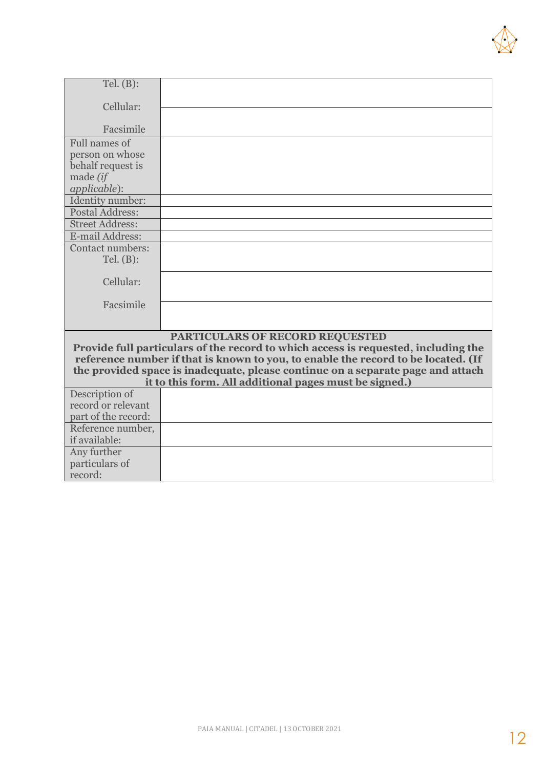

| Tel. $(B)$ :                         |                                                                                    |
|--------------------------------------|------------------------------------------------------------------------------------|
|                                      |                                                                                    |
| Cellular:                            |                                                                                    |
|                                      |                                                                                    |
| Facsimile                            |                                                                                    |
| Full names of                        |                                                                                    |
| person on whose                      |                                                                                    |
| behalf request is                    |                                                                                    |
| made (if                             |                                                                                    |
| applicable):                         |                                                                                    |
| Identity number:                     |                                                                                    |
| Postal Address:                      |                                                                                    |
| <b>Street Address:</b>               |                                                                                    |
| E-mail Address:                      |                                                                                    |
| Contact numbers:                     |                                                                                    |
| Tel. (B):                            |                                                                                    |
|                                      |                                                                                    |
| Cellular:                            |                                                                                    |
|                                      |                                                                                    |
| Facsimile                            |                                                                                    |
|                                      |                                                                                    |
|                                      |                                                                                    |
|                                      | PARTICULARS OF RECORD REQUESTED                                                    |
|                                      | Provide full particulars of the record to which access is requested, including the |
|                                      | reference number if that is known to you, to enable the record to be located. (If  |
|                                      | the provided space is inadequate, please continue on a separate page and attach    |
|                                      | it to this form. All additional pages must be signed.)                             |
| Description of<br>record or relevant |                                                                                    |
| part of the record:                  |                                                                                    |
|                                      |                                                                                    |
| Reference number,                    |                                                                                    |
| if available:                        |                                                                                    |
| Any further                          |                                                                                    |
| particulars of                       |                                                                                    |
| record:                              |                                                                                    |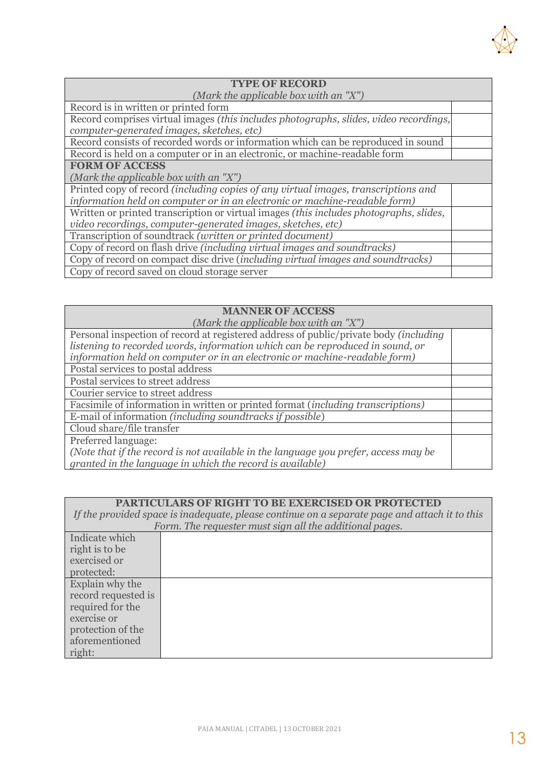

| <b>TYPE OF RECORD</b>                                                                     |  |  |  |  |
|-------------------------------------------------------------------------------------------|--|--|--|--|
| (Mark the applicable box with an $"X"$ )                                                  |  |  |  |  |
| Record is in written or printed form                                                      |  |  |  |  |
| Record comprises virtual images (this includes photographs, slides, video recordings,     |  |  |  |  |
| computer-generated images, sketches, etc)                                                 |  |  |  |  |
| Record consists of recorded words or information which can be reproduced in sound         |  |  |  |  |
| Record is held on a computer or in an electronic, or machine-readable form                |  |  |  |  |
| <b>FORM OF ACCESS</b>                                                                     |  |  |  |  |
| (Mark the applicable box with an $"X"$ )                                                  |  |  |  |  |
| Printed copy of record <i>(including copies of any virtual images, transcriptions and</i> |  |  |  |  |
| information held on computer or in an electronic or machine-readable form)                |  |  |  |  |
| Written or printed transcription or virtual images (this includes photographs, slides,    |  |  |  |  |
| video recordings, computer-generated images, sketches, etc)                               |  |  |  |  |
| Transcription of soundtrack (written or printed document)                                 |  |  |  |  |
| Copy of record on flash drive (including virtual images and soundtracks)                  |  |  |  |  |
| Copy of record on compact disc drive (including virtual images and soundtracks)           |  |  |  |  |
| Copy of record saved on cloud storage server                                              |  |  |  |  |

#### **MANNER OF ACCESS**

| (Mark the applicable box with an $"X"$ )                                              |  |  |  |
|---------------------------------------------------------------------------------------|--|--|--|
| Personal inspection of record at registered address of public/private body (including |  |  |  |
| listening to recorded words, information which can be reproduced in sound, or         |  |  |  |
| information held on computer or in an electronic or machine-readable form)            |  |  |  |
| Postal services to postal address                                                     |  |  |  |
| Postal services to street address                                                     |  |  |  |
| Courier service to street address                                                     |  |  |  |
| Facsimile of information in written or printed format (including transcriptions)      |  |  |  |
| E-mail of information (including sound tracks if possible)                            |  |  |  |
| Cloud share/file transfer                                                             |  |  |  |
| Preferred language:                                                                   |  |  |  |
| (Note that if the record is not available in the language you prefer, access may be   |  |  |  |
| granted in the language in which the record is available)                             |  |  |  |

| <b>PARTICULARS OF RIGHT TO BE EXERCISED OR PROTECTED</b>                                                                                                 |  |  |  |  |  |
|----------------------------------------------------------------------------------------------------------------------------------------------------------|--|--|--|--|--|
| If the provided space is inadequate, please continue on a separate page and attach it to this<br>Form. The requester must sign all the additional pages. |  |  |  |  |  |
| Indicate which                                                                                                                                           |  |  |  |  |  |
| right is to be                                                                                                                                           |  |  |  |  |  |
| exercised or                                                                                                                                             |  |  |  |  |  |
| protected:                                                                                                                                               |  |  |  |  |  |
| Explain why the                                                                                                                                          |  |  |  |  |  |
| record requested is                                                                                                                                      |  |  |  |  |  |
| required for the                                                                                                                                         |  |  |  |  |  |
| exercise or                                                                                                                                              |  |  |  |  |  |
| protection of the                                                                                                                                        |  |  |  |  |  |
| aforementioned                                                                                                                                           |  |  |  |  |  |
| right:                                                                                                                                                   |  |  |  |  |  |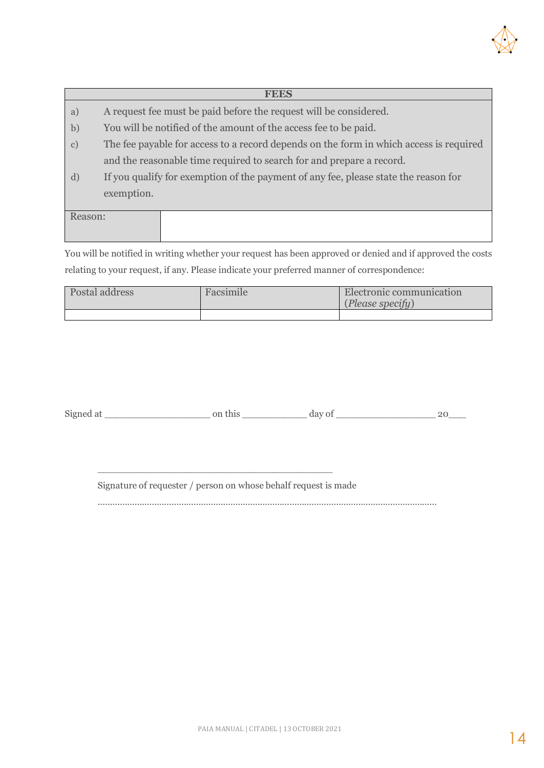

## **FEES** a) A request fee must be paid before the request will be considered. b) You will be notified of the amount of the access fee to be paid. c) The fee payable for access to a record depends on the form in which access is required and the reasonable time required to search for and prepare a record. d) If you qualify for exemption of the payment of any fee, please state the reason for exemption. Reason:

You will be notified in writing whether your request has been approved or denied and if approved the costs relating to your request, if any. Please indicate your preferred manner of correspondence:

| Postal address | Facsimile | Electronic communication<br>(Please specify) |  |
|----------------|-----------|----------------------------------------------|--|
|                |           |                                              |  |

Signed at \_\_\_\_\_\_\_\_\_\_\_\_\_\_\_\_\_\_ on this \_\_\_\_\_\_\_\_\_\_\_ day of \_\_\_\_\_\_\_\_\_\_\_\_\_\_\_\_\_ 20\_\_\_

Signature of requester / person on whose behalf request is made

\_\_\_\_\_\_\_\_\_\_\_\_\_\_\_\_\_\_\_\_\_\_\_\_\_\_\_\_\_\_\_\_\_\_\_\_\_\_\_\_

…………………………………………………………………………………………………………………………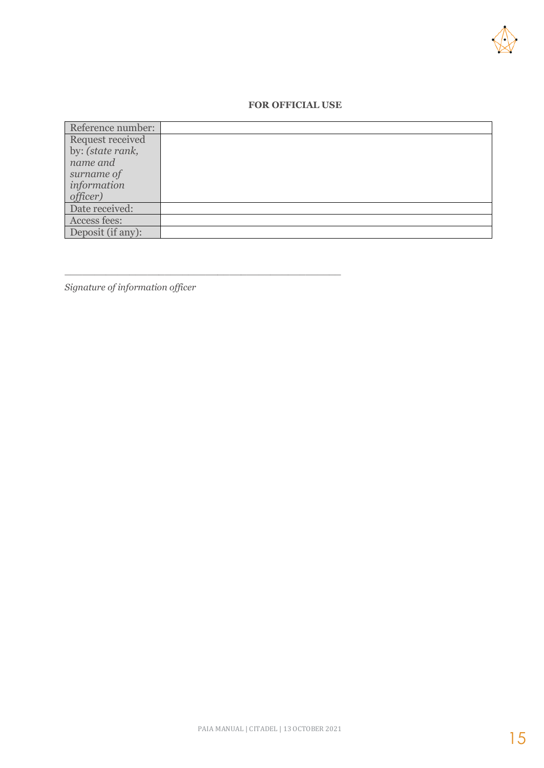

#### **FOR OFFICIAL USE**

| Reference number: |  |
|-------------------|--|
| Request received  |  |
| by: (state rank,  |  |
| name and          |  |
| surname of        |  |
| information       |  |
| officer)          |  |
| Date received:    |  |
| Access fees:      |  |
| Deposit (if any): |  |

*Signature of information officer*

\_\_\_\_\_\_\_\_\_\_\_\_\_\_\_\_\_\_\_\_\_\_\_\_\_\_\_\_\_\_\_\_\_\_\_\_\_\_\_\_\_\_\_\_\_\_\_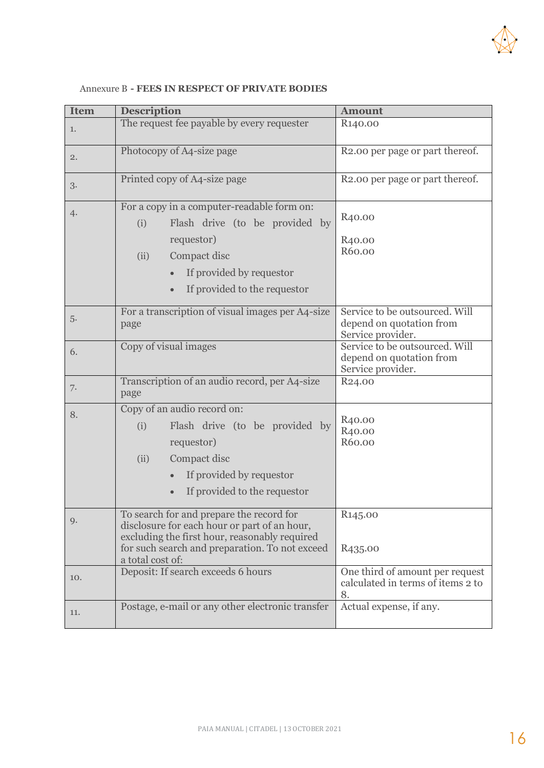

| <b>Item</b> | <b>Description</b>                                                                                                                                                                                              | <b>Amount</b>                                                                   |  |
|-------------|-----------------------------------------------------------------------------------------------------------------------------------------------------------------------------------------------------------------|---------------------------------------------------------------------------------|--|
| 1.          | The request fee payable by every requester                                                                                                                                                                      | R <sub>140.00</sub>                                                             |  |
| 2.          | Photocopy of A4-size page                                                                                                                                                                                       | R2.00 per page or part thereof.                                                 |  |
| 3.          | Printed copy of A4-size page                                                                                                                                                                                    | R2.00 per page or part thereof.                                                 |  |
| 4.          | For a copy in a computer-readable form on:<br>Flash drive (to be provided by<br>(i)<br>requestor)<br>Compact disc<br>(ii)<br>If provided by requestor                                                           | R <sub>40</sub> .00<br>R <sub>40</sub> .00<br>R60.00                            |  |
|             | If provided to the requestor                                                                                                                                                                                    |                                                                                 |  |
| 5.          | For a transcription of visual images per A4-size<br>page                                                                                                                                                        | Service to be outsourced. Will<br>depend on quotation from<br>Service provider. |  |
| 6.          | Copy of visual images                                                                                                                                                                                           | Service to be outsourced. Will<br>depend on quotation from<br>Service provider. |  |
| 7.          | Transcription of an audio record, per A4-size<br>page                                                                                                                                                           | R <sub>24.00</sub>                                                              |  |
| 8.          | Copy of an audio record on:<br>Flash drive (to be provided by<br>(i)<br>requestor)<br>Compact disc<br>(ii)<br>If provided by requestor<br>If provided to the requestor                                          | R <sub>40.00</sub><br>R <sub>40.00</sub><br>R60.00                              |  |
| 9.          | To search for and prepare the record for<br>disclosure for each hour or part of an hour,<br>excluding the first hour, reasonably required<br>for such search and preparation. To not exceed<br>a total cost of: | R145.00<br>R <sub>435</sub> .00                                                 |  |
| 10.         | Deposit: If search exceeds 6 hours                                                                                                                                                                              | One third of amount per request<br>calculated in terms of items 2 to<br>8.      |  |
| 11.         | Postage, e-mail or any other electronic transfer                                                                                                                                                                | Actual expense, if any.                                                         |  |

#### Annexure B **- FEES IN RESPECT OF PRIVATE BODIES**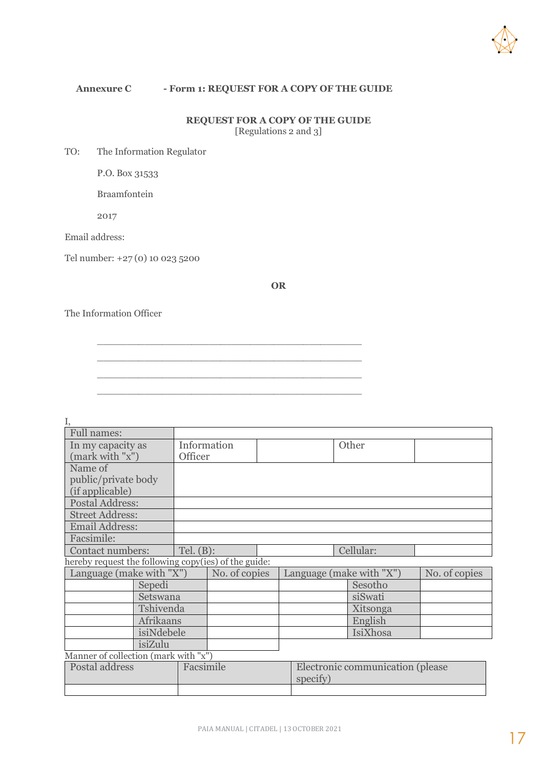

#### **Annexure C - Form 1: REQUEST FOR A COPY OF THE GUIDE**

\_\_\_\_\_\_\_\_\_\_\_\_\_\_\_\_\_\_\_\_\_\_\_\_\_\_\_\_\_\_\_\_\_\_\_\_\_\_\_\_\_\_\_\_\_ \_\_\_\_\_\_\_\_\_\_\_\_\_\_\_\_\_\_\_\_\_\_\_\_\_\_\_\_\_\_\_\_\_\_\_\_\_\_\_\_\_\_\_\_\_ \_\_\_\_\_\_\_\_\_\_\_\_\_\_\_\_\_\_\_\_\_\_\_\_\_\_\_\_\_\_\_\_\_\_\_\_\_\_\_\_\_\_\_\_\_ \_\_\_\_\_\_\_\_\_\_\_\_\_\_\_\_\_\_\_\_\_\_\_\_\_\_\_\_\_\_\_\_\_\_\_\_\_\_\_\_\_\_\_\_\_

#### **REQUEST FOR A COPY OF THE GUIDE** [Regulations 2 and 3]

TO: The Information Regulator

P.O. Box 31533

Braamfontein

2017

Email address:

Tel number: +27 (0) 10 023 5200

**OR**

The Information Officer

| <b>Full names:</b>                                   |           |                        |               |                                              |                          |          |               |
|------------------------------------------------------|-----------|------------------------|---------------|----------------------------------------------|--------------------------|----------|---------------|
| In my capacity as<br>(mark with "x")                 |           | Information<br>Officer |               |                                              |                          | Other    |               |
| Name of<br>public/private body<br>(if applicable)    |           |                        |               |                                              |                          |          |               |
| <b>Postal Address:</b>                               |           |                        |               |                                              |                          |          |               |
| <b>Street Address:</b>                               |           |                        |               |                                              |                          |          |               |
| <b>Email Address:</b>                                |           |                        |               |                                              |                          |          |               |
| Facsimile:                                           |           |                        |               |                                              |                          |          |               |
| Contact numbers:                                     |           | Tel. $(B)$ :           |               |                                              | Cellular:                |          |               |
| hereby request the following copy(ies) of the guide: |           |                        |               |                                              |                          |          |               |
| Language (make with "X")                             |           |                        | No. of copies |                                              | Language (make with "X") |          | No. of copies |
|                                                      | Sepedi    |                        |               |                                              |                          | Sesotho  |               |
|                                                      | Setswana  |                        |               |                                              |                          | siSwati  |               |
|                                                      | Tshivenda |                        |               |                                              |                          | Xitsonga |               |
| Afrikaans                                            |           |                        |               |                                              |                          | English  |               |
| isiNdebele                                           |           |                        |               |                                              |                          | IsiXhosa |               |
| isiZulu                                              |           |                        |               |                                              |                          |          |               |
| Manner of collection (mark with "x")                 |           |                        |               |                                              |                          |          |               |
| Postal address                                       |           | Facsimile              |               | Electronic communication (please<br>specify) |                          |          |               |
|                                                      |           |                        |               |                                              |                          |          |               |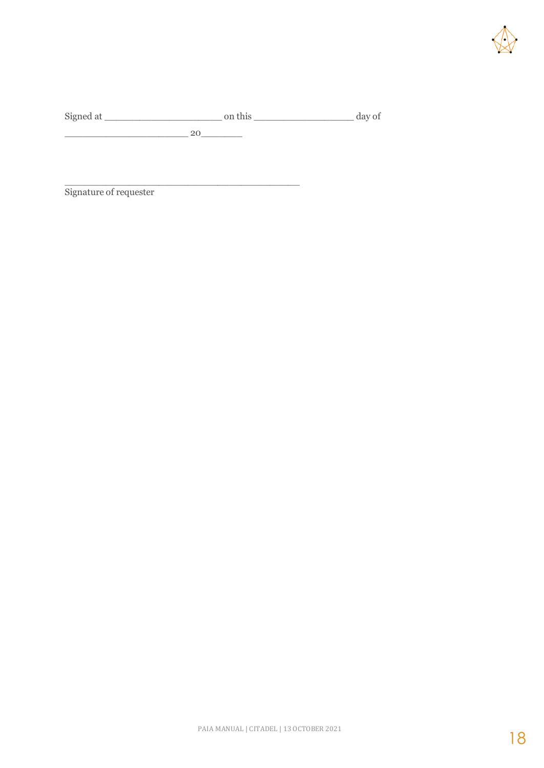

Signed at \_\_\_\_\_\_\_\_\_\_\_\_\_\_\_\_\_\_\_\_ on this \_\_\_\_\_\_\_\_\_\_\_\_\_\_\_\_\_ day of  $-$  20 $-$ 

\_\_\_\_\_\_\_\_\_\_\_\_\_\_\_\_\_\_\_\_\_\_\_\_\_\_\_\_\_\_\_\_\_\_\_\_\_\_\_\_

Signature of requester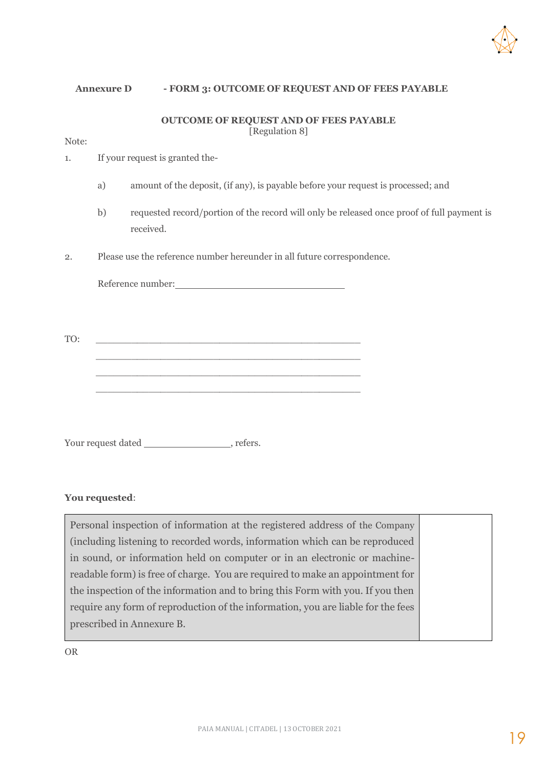

#### **Annexure D - FORM 3: OUTCOME OF REQUEST AND OF FEES PAYABLE**

#### **OUTCOME OF REQUEST AND OF FEES PAYABLE** [Regulation 8]

Note:

- 1. If your request is granted the
	- a) amount of the deposit, (if any), is payable before your request is processed; and
	- b) requested record/portion of the record will only be released once proof of full payment is received.
- 2. Please use the reference number hereunder in all future correspondence.

Reference number:

TO: \_\_\_\_\_\_\_\_\_\_\_\_\_\_\_\_\_\_\_\_\_\_\_\_\_\_\_\_\_\_\_\_\_\_\_\_\_\_\_\_\_\_\_\_\_ \_\_\_\_\_\_\_\_\_\_\_\_\_\_\_\_\_\_\_\_\_\_\_\_\_\_\_\_\_\_\_\_\_\_\_\_\_\_\_\_\_\_\_\_\_ \_\_\_\_\_\_\_\_\_\_\_\_\_\_\_\_\_\_\_\_\_\_\_\_\_\_\_\_\_\_\_\_\_\_\_\_\_\_\_\_\_\_\_\_\_

\_\_\_\_\_\_\_\_\_\_\_\_\_\_\_\_\_\_\_\_\_\_\_\_\_\_\_\_\_\_\_\_\_\_\_\_\_\_\_\_\_\_\_\_\_

Your request dated , refers.

#### **You requested**:

Personal inspection of information at the registered address of the Company (including listening to recorded words, information which can be reproduced in sound, or information held on computer or in an electronic or machinereadable form) is free of charge. You are required to make an appointment for the inspection of the information and to bring this Form with you. If you then require any form of reproduction of the information, you are liable for the fees prescribed in Annexure B.

OR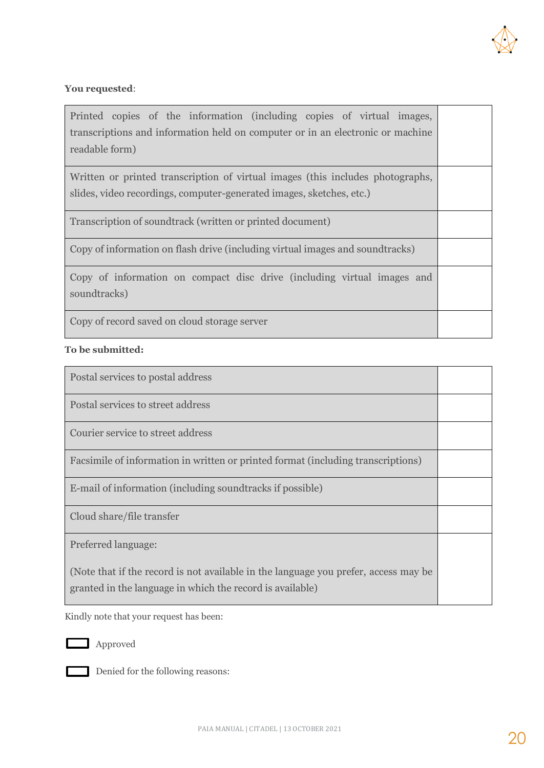

#### **You requested**:

| Printed copies of the information (including copies of virtual images,<br>transcriptions and information held on computer or in an electronic or machine<br>readable form) |  |
|----------------------------------------------------------------------------------------------------------------------------------------------------------------------------|--|
| Written or printed transcription of virtual images (this includes photographs,<br>slides, video recordings, computer-generated images, sketches, etc.)                     |  |
| Transcription of soundtrack (written or printed document)                                                                                                                  |  |
| Copy of information on flash drive (including virtual images and soundtracks)                                                                                              |  |
| Copy of information on compact disc drive (including virtual images and<br>soundtracks)                                                                                    |  |
| Copy of record saved on cloud storage server                                                                                                                               |  |

#### **To be submitted:**

| Postal services to postal address                                                                                                                |  |
|--------------------------------------------------------------------------------------------------------------------------------------------------|--|
| Postal services to street address                                                                                                                |  |
| Courier service to street address                                                                                                                |  |
| Facsimile of information in written or printed format (including transcriptions)                                                                 |  |
| E-mail of information (including sound tracks if possible)                                                                                       |  |
| Cloud share/file transfer                                                                                                                        |  |
| Preferred language:                                                                                                                              |  |
| (Note that if the record is not available in the language you prefer, access may be<br>granted in the language in which the record is available) |  |

Kindly note that your request has been:



**Approved** 



Denied for the following reasons: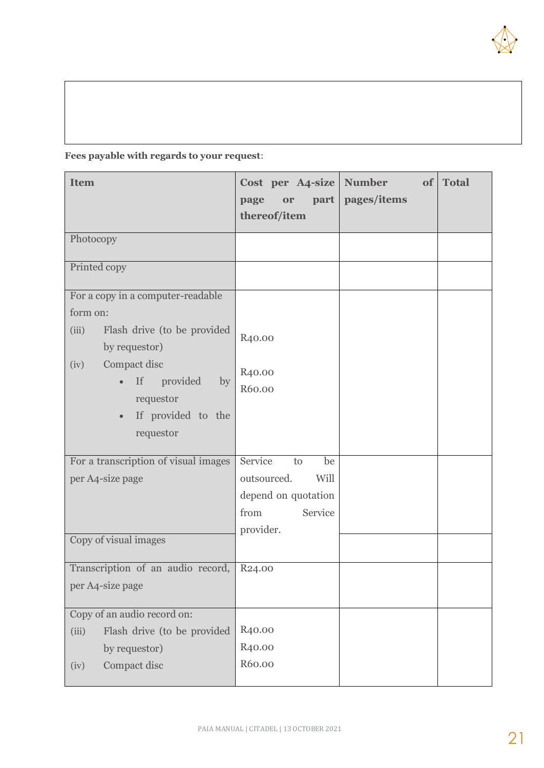

#### **Fees payable with regards to your request**:

| <b>Item</b>                                                                                                                                                                                                         | Cost per A4-size Number<br>page<br>or<br>thereof/item                                             | of  <br>part   pages/items | <b>Total</b> |
|---------------------------------------------------------------------------------------------------------------------------------------------------------------------------------------------------------------------|---------------------------------------------------------------------------------------------------|----------------------------|--------------|
| Photocopy                                                                                                                                                                                                           |                                                                                                   |                            |              |
| Printed copy                                                                                                                                                                                                        |                                                                                                   |                            |              |
| For a copy in a computer-readable<br>form on:<br>Flash drive (to be provided<br>(iii)<br>by requestor)<br>Compact disc<br>(iv)<br>provided<br>If<br>by<br>requestor<br>If provided to the<br>$\bullet$<br>requestor | R <sub>40.00</sub><br>R <sub>40.00</sub><br>R60.00                                                |                            |              |
| For a transcription of visual images<br>per A4-size page<br>Copy of visual images                                                                                                                                   | Service<br>be<br>to<br>outsourced.<br>Will<br>depend on quotation<br>Service<br>from<br>provider. |                            |              |
| Transcription of an audio record,<br>per A4-size page                                                                                                                                                               | R <sub>24.00</sub>                                                                                |                            |              |
| Copy of an audio record on:<br>Flash drive (to be provided<br>(iii)<br>by requestor)<br>Compact disc<br>(iv)                                                                                                        | R <sub>40.00</sub><br>R <sub>40.00</sub><br>R60.00                                                |                            |              |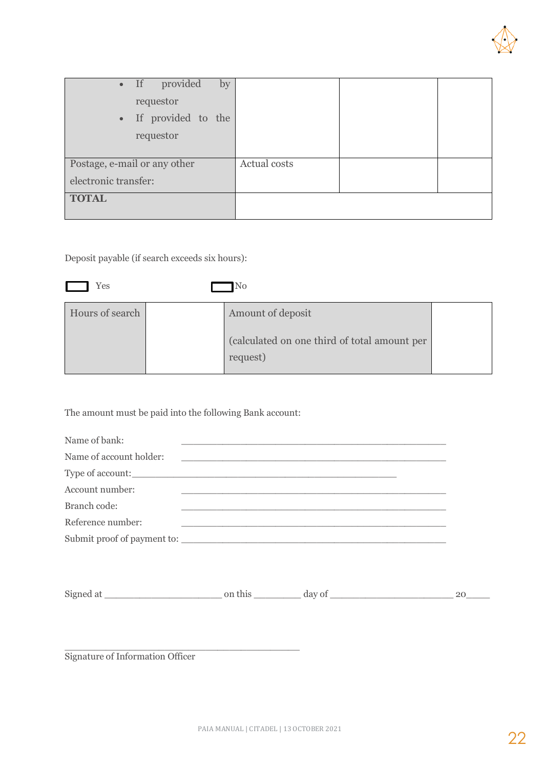

| • If provided                | by |              |  |
|------------------------------|----|--------------|--|
| requestor                    |    |              |  |
| • If provided to the         |    |              |  |
| requestor                    |    |              |  |
|                              |    |              |  |
| Postage, e-mail or any other |    | Actual costs |  |
| electronic transfer:         |    |              |  |
| <b>TOTAL</b>                 |    |              |  |
|                              |    |              |  |

Deposit payable (if search exceeds six hours):

| Yes             | N <sub>0</sub>                                                                |  |
|-----------------|-------------------------------------------------------------------------------|--|
| Hours of search | Amount of deposit<br>(calculated on one third of total amount per<br>request) |  |

The amount must be paid into the following Bank account:

\_\_\_\_\_\_\_\_\_\_\_\_\_\_\_\_\_\_\_\_\_\_\_\_\_\_\_\_\_\_\_\_\_\_\_\_\_\_\_\_

| Name of bank:           |                                                                                                                      |  |
|-------------------------|----------------------------------------------------------------------------------------------------------------------|--|
| Name of account holder: | <u> Alexandria de la contrada de la contrada de la contrada de la contrada de la contrada de la contrada de la c</u> |  |
|                         | Type of account:                                                                                                     |  |
| Account number:         |                                                                                                                      |  |
| Branch code:            |                                                                                                                      |  |
| Reference number:       |                                                                                                                      |  |
|                         | Submit proof of payment to:                                                                                          |  |

| Signed at | $19V \Omega$ <sup>+</sup> |  |
|-----------|---------------------------|--|
|           |                           |  |

Signature of Information Officer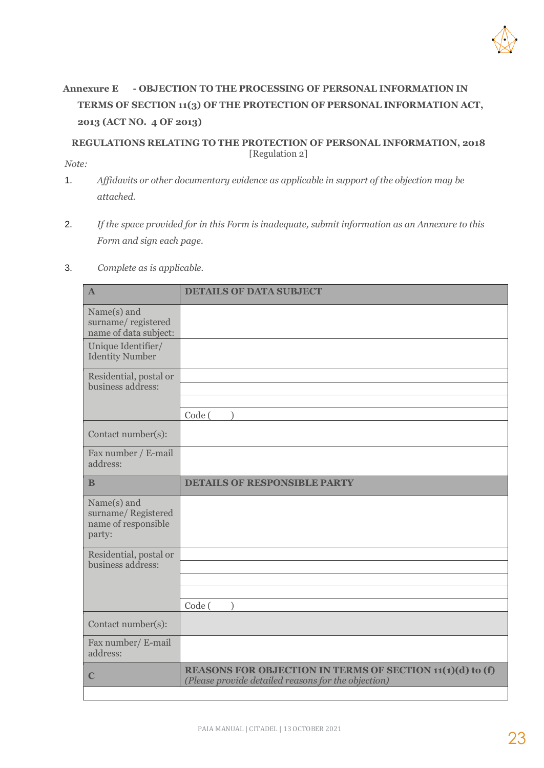

#### **Annexure E - OBJECTION TO THE PROCESSING OF PERSONAL INFORMATION IN TERMS OF SECTION 11(3) OF THE PROTECTION OF PERSONAL INFORMATION ACT, 2013 (ACT NO. 4 OF 2013)**

#### **REGULATIONS RELATING TO THE PROTECTION OF PERSONAL INFORMATION, 2018** [Regulation 2] *Note:*

- 1. *Affidavits or other documentary evidence as applicable in support of the objection may be attached.*
- 2. *If the space provided for in this Form is inadequate, submit information as an Annexure to this Form and sign each page.*

#### 3. *Complete as is applicable.*

| $\mathbf{A}$                                                       | <b>DETAILS OF DATA SUBJECT</b>                                                                                          |
|--------------------------------------------------------------------|-------------------------------------------------------------------------------------------------------------------------|
| Name(s) and<br>surname/registered<br>name of data subject:         |                                                                                                                         |
| Unique Identifier/<br><b>Identity Number</b>                       |                                                                                                                         |
| Residential, postal or<br>business address:                        |                                                                                                                         |
|                                                                    | Code (                                                                                                                  |
| Contact number(s):                                                 |                                                                                                                         |
| Fax number / E-mail<br>address:                                    |                                                                                                                         |
| B                                                                  | <b>DETAILS OF RESPONSIBLE PARTY</b>                                                                                     |
| Name(s) and<br>surname/Registered<br>name of responsible<br>party: |                                                                                                                         |
| Residential, postal or                                             |                                                                                                                         |
| business address:                                                  |                                                                                                                         |
|                                                                    |                                                                                                                         |
|                                                                    | Code (<br>λ                                                                                                             |
| Contact number(s):                                                 |                                                                                                                         |
| Fax number/ E-mail<br>address:                                     |                                                                                                                         |
| $\mathbf C$                                                        | <b>REASONS FOR OBJECTION IN TERMS OF SECTION 11(1)(d) to (f)</b><br>(Please provide detailed reasons for the objection) |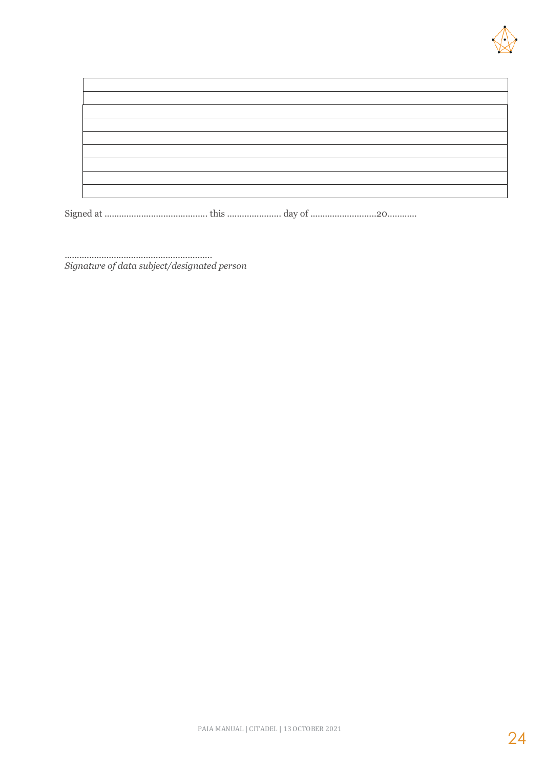

Signed at .......................................... this ...................... day of ...........................20………...

............................................................ *Signature of data subject/designated person*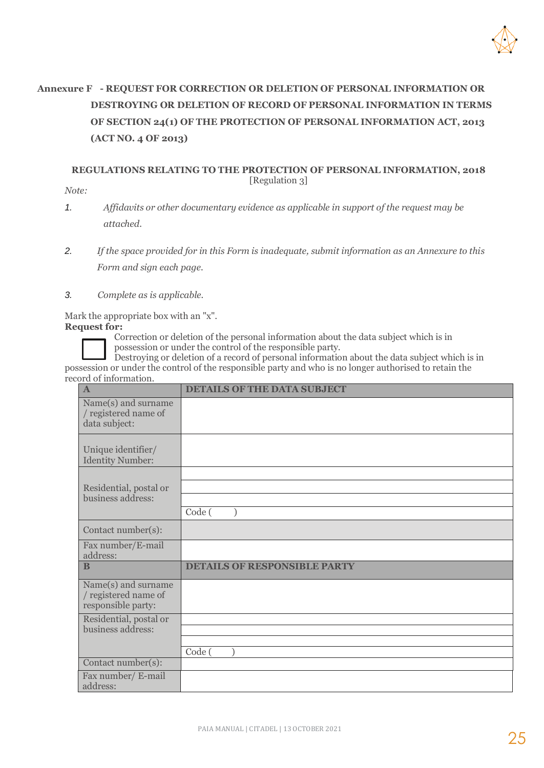

### **Annexure F - REQUEST FOR CORRECTION OR DELETION OF PERSONAL INFORMATION OR DESTROYING OR DELETION OF RECORD OF PERSONAL INFORMATION IN TERMS OF SECTION 24(1) OF THE PROTECTION OF PERSONAL INFORMATION ACT, 2013 (ACT NO. 4 OF 2013)**

#### **REGULATIONS RELATING TO THE PROTECTION OF PERSONAL INFORMATION, 2018** [Regulation 3]

*Note:* 

- *1. Affidavits or other documentary evidence as applicable in support of the request may be attached.*
- *2. If the space provided for in this Form is inadequate, submit information as an Annexure to this Form and sign each page.*
- *3. Complete as is applicable.*

Mark the appropriate box with an "x". **Request for:** 

Correction or deletion of the personal information about the data subject which is in possession or under the control of the responsible party.

Destroying or deletion of a record of personal information about the data subject which is in possession or under the control of the responsible party and who is no longer authorised to retain the record of information.

| $\mathbf{A}$                                                      | <b>DETAILS OF THE DATA SUBJECT</b>  |
|-------------------------------------------------------------------|-------------------------------------|
| Name(s) and surname<br>/ registered name of<br>data subject:      |                                     |
| Unique identifier/<br><b>Identity Number:</b>                     |                                     |
|                                                                   |                                     |
| Residential, postal or<br>business address:                       |                                     |
|                                                                   | Code (                              |
|                                                                   |                                     |
| Contact number(s):                                                |                                     |
| Fax number/E-mail<br>address:                                     |                                     |
| B                                                                 | <b>DETAILS OF RESPONSIBLE PARTY</b> |
| Name(s) and surname<br>/ registered name of<br>responsible party: |                                     |
| Residential, postal or                                            |                                     |
| business address:                                                 |                                     |
|                                                                   | Code (                              |
| Contact number(s):                                                |                                     |
| Fax number/ E-mail<br>address:                                    |                                     |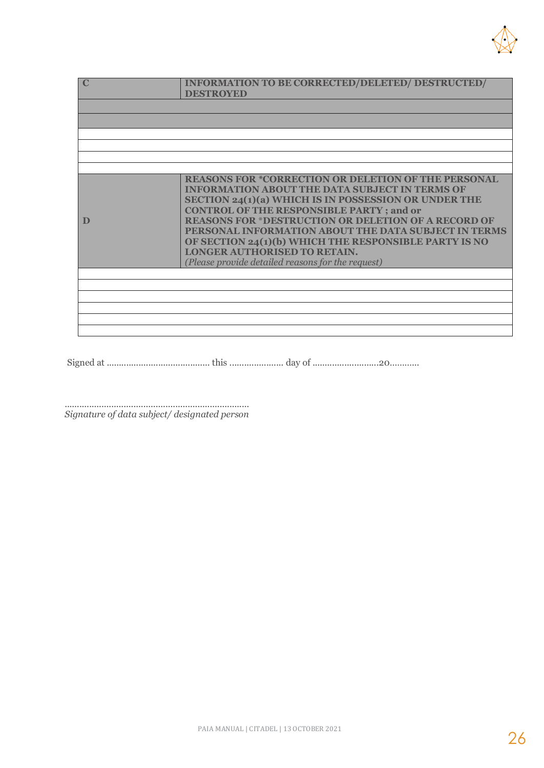

|   | <b>INFORMATION TO BE CORRECTED/DELETED/ DESTRUCTED/</b><br><b>DESTROYED</b>                                                                                                                                                           |
|---|---------------------------------------------------------------------------------------------------------------------------------------------------------------------------------------------------------------------------------------|
|   |                                                                                                                                                                                                                                       |
|   |                                                                                                                                                                                                                                       |
|   |                                                                                                                                                                                                                                       |
|   |                                                                                                                                                                                                                                       |
|   |                                                                                                                                                                                                                                       |
|   | <b>REASONS FOR *CORRECTION OR DELETION OF THE PERSONAL</b><br><b>INFORMATION ABOUT THE DATA SUBJECT IN TERMS OF</b><br><b>SECTION 24(1)(a) WHICH IS IN POSSESSION OR UNDER THE</b><br><b>CONTROL OF THE RESPONSIBLE PARTY; and or</b> |
| D | <b>REASONS FOR *DESTRUCTION OR DELETION OF A RECORD OF</b><br>PERSONAL INFORMATION ABOUT THE DATA SUBJECT IN TERMS<br>OF SECTION 24(1)(b) WHICH THE RESPONSIBLE PARTY IS NO                                                           |
|   | <b>LONGER AUTHORISED TO RETAIN.</b><br>(Please provide detailed reasons for the request)                                                                                                                                              |
|   |                                                                                                                                                                                                                                       |
|   |                                                                                                                                                                                                                                       |
|   |                                                                                                                                                                                                                                       |
|   |                                                                                                                                                                                                                                       |
|   |                                                                                                                                                                                                                                       |

Signed at .......................................... this ...................... day of ...........................20………...

........................................................................... *Signature of data subject/ designated person*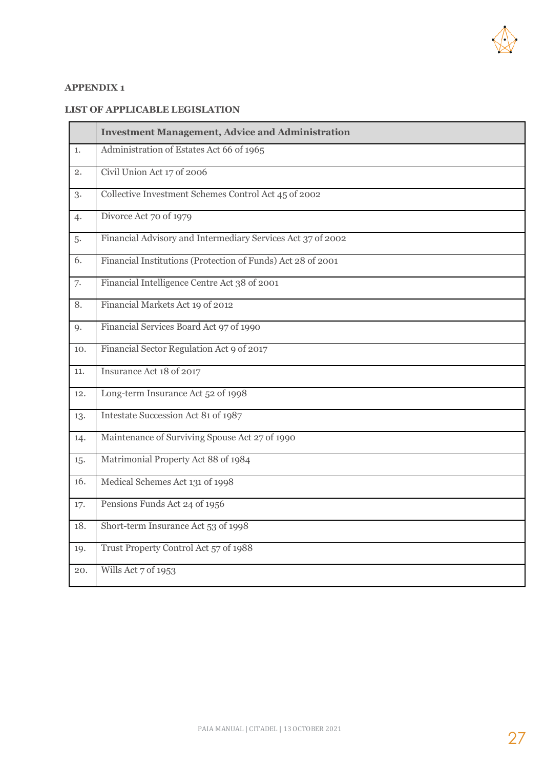

#### **APPENDIX 1**

#### **LIST OF APPLICABLE LEGISLATION**

|     | <b>Investment Management, Advice and Administration</b>     |
|-----|-------------------------------------------------------------|
| 1.  | Administration of Estates Act 66 of 1965                    |
| 2.  | Civil Union Act 17 of 2006                                  |
| 3.  | Collective Investment Schemes Control Act 45 of 2002        |
| 4.  | Divorce Act 70 of 1979                                      |
| 5.  | Financial Advisory and Intermediary Services Act 37 of 2002 |
| 6.  | Financial Institutions (Protection of Funds) Act 28 of 2001 |
| 7.  | Financial Intelligence Centre Act 38 of 2001                |
| 8.  | Financial Markets Act 19 of 2012                            |
| 9.  | Financial Services Board Act 97 of 1990                     |
| 10. | Financial Sector Regulation Act 9 of 2017                   |
| 11. | Insurance Act 18 of 2017                                    |
| 12. | Long-term Insurance Act 52 of 1998                          |
| 13. | Intestate Succession Act 81 of 1987                         |
| 14. | Maintenance of Surviving Spouse Act 27 of 1990              |
| 15. | Matrimonial Property Act 88 of 1984                         |
| 16. | Medical Schemes Act 131 of 1998                             |
| 17. | Pensions Funds Act 24 of 1956                               |
| 18. | Short-term Insurance Act 53 of 1998                         |
| 19. | Trust Property Control Act 57 of 1988                       |
| 20. | Wills Act 7 of 1953                                         |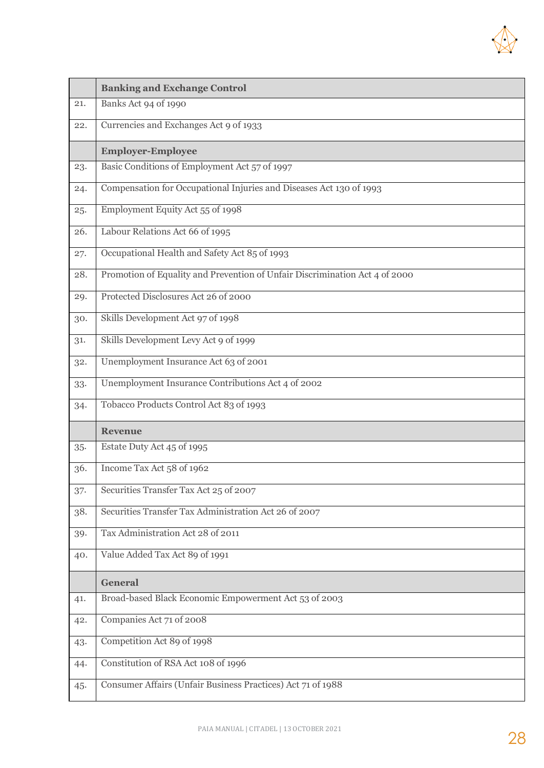

|     | <b>Banking and Exchange Control</b>                                         |
|-----|-----------------------------------------------------------------------------|
| 21. | Banks Act 94 of 1990                                                        |
| 22. | Currencies and Exchanges Act 9 of 1933                                      |
|     | <b>Employer-Employee</b>                                                    |
| 23. | Basic Conditions of Employment Act 57 of 1997                               |
| 24. | Compensation for Occupational Injuries and Diseases Act 130 of 1993         |
| 25. | Employment Equity Act 55 of 1998                                            |
| 26. | Labour Relations Act 66 of 1995                                             |
| 27. | Occupational Health and Safety Act 85 of 1993                               |
| 28. | Promotion of Equality and Prevention of Unfair Discrimination Act 4 of 2000 |
| 29. | Protected Disclosures Act 26 of 2000                                        |
| 30. | Skills Development Act 97 of 1998                                           |
| 31. | Skills Development Levy Act 9 of 1999                                       |
| 32. | Unemployment Insurance Act 63 of 2001                                       |
| 33. | Unemployment Insurance Contributions Act 4 of 2002                          |
| 34. | Tobacco Products Control Act 83 of 1993                                     |
|     | <b>Revenue</b>                                                              |
| 35. | Estate Duty Act 45 of 1995                                                  |
| 36. | Income Tax Act 58 of 1962                                                   |
| 37. | Securities Transfer Tax Act 25 of 2007                                      |
| 38. | Securities Transfer Tax Administration Act 26 of 2007                       |
| 39. | Tax Administration Act 28 of 2011                                           |
| 40. | Value Added Tax Act 89 of 1991                                              |
|     | <b>General</b>                                                              |
| 41. | Broad-based Black Economic Empowerment Act 53 of 2003                       |
| 42. | Companies Act 71 of 2008                                                    |
| 43. | Competition Act 89 of 1998                                                  |
| 44. | Constitution of RSA Act 108 of 1996                                         |
| 45. | Consumer Affairs (Unfair Business Practices) Act 71 of 1988                 |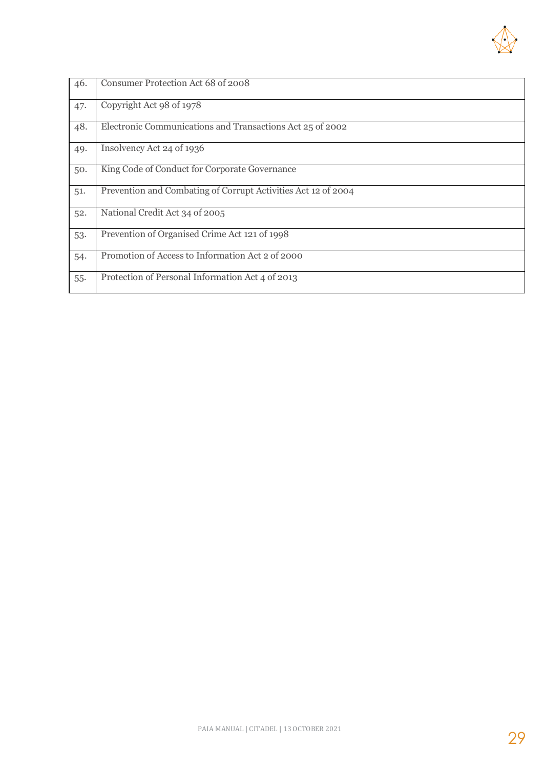

| 46. | Consumer Protection Act 68 of 2008                            |
|-----|---------------------------------------------------------------|
| 47. | Copyright Act 98 of 1978                                      |
| 48. | Electronic Communications and Transactions Act 25 of 2002     |
| 49. | Insolvency Act 24 of 1936                                     |
| 50. | King Code of Conduct for Corporate Governance                 |
| 51. | Prevention and Combating of Corrupt Activities Act 12 of 2004 |
| 52. | National Credit Act 34 of 2005                                |
| 53. | Prevention of Organised Crime Act 121 of 1998                 |
| 54. | Promotion of Access to Information Act 2 of 2000              |
| 55. | Protection of Personal Information Act 4 of 2013              |